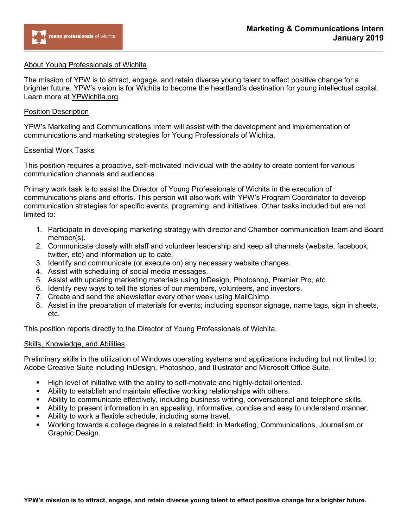

## About Young Professionals of Wichita

The mission of YPW is to attract, engage, and retain diverse young talent to effect positive change for a brighter future. YPW's vision is for Wichita to become the heartland's destination for young intellectual capital. Learn more at YPWichita.org.

### Position Description

YPW's Marketing and Communications Intern will assist with the development and implementation of communications and marketing strategies for Young Professionals of Wichita.

### Essential Work Tasks

This position requires a proactive, self-motivated individual with the ability to create content for various communication channels and audiences.

Primary work task is to assist the Director of Young Professionals of Wichita in the execution of communications plans and efforts. This person will also work with YPW's Program Coordinator to develop communication strategies for specific events, programing, and initiatives. Other tasks included but are not limited to:

- 1. Participate in developing marketing strategy with director and Chamber communication team and Board member(s).
- 2. Communicate closely with staff and volunteer leadership and keep all channels (website, facebook, twitter, etc) and information up to date.
- 3. Identify and communicate (or execute on) any necessary website changes.
- 4. Assist with scheduling of social media messages.
- 5. Assist with updating marketing materials using InDesign, Photoshop, Premier Pro, etc.
- 6. Identify new ways to tell the stories of our members, volunteers, and investors.
- 7. Create and send the eNewsletter every other week using MailChimp.
- 8. Assist in the preparation of materials for events; including sponsor signage, name tags, sign in sheets, etc.

This position reports directly to the Director of Young Professionals of Wichita.

#### Skills, Knowledge, and Abilities

Preliminary skills in the utilization of Windows operating systems and applications including but not limited to: Adobe Creative Suite including InDesign, Photoshop, and Illustrator and Microsoft Office Suite.

- High level of initiative with the ability to self-motivate and highly-detail oriented.
- Ability to establish and maintain effective working relationships with others.
- Ability to communicate effectively, including business writing, conversational and telephone skills.
- Ability to present information in an appealing, informative, concise and easy to understand manner.
- Ability to work a flexible schedule, including some travel.
- Working towards a college degree in a related field: in Marketing, Communications, Journalism or Graphic Design.